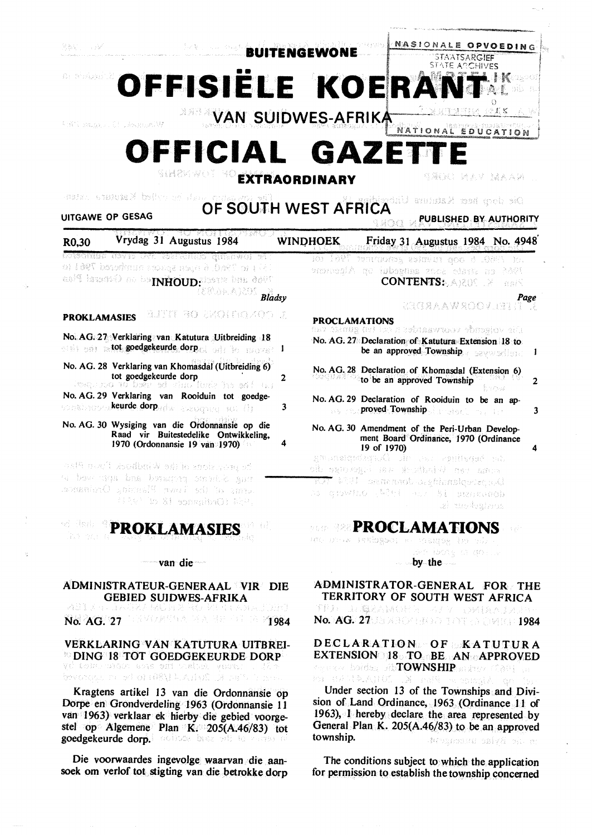a shappi

新发出 人名法德 **BUITENGEWONE** 

OFFISIËLE KOERANT 11' **11' The Second Company of the Second Company of the Second Company of the Second Company of the Second Co** 

Windows St Jacobs

**EXAM SUIDWES-AFRIKA PRIMAL PRIMAL PRIMAL PRIMAL PRIMAL PRIMARY SUIDWES-AFRICATION** 

**OFFICIAL GAZETTE** 

**EXTRAORDINARY** 

医亲人喜起 医内内骨膜炎 化硫酸盐

----·----

 $C<sub>H</sub>1VEC$ 

I ·.· · 11• , *r:,* 

eris s

NASlONAlE OPVOEDING

ST <sup>1</sup>

al ho colled Katutan natur. UITGAWE OP GESAG **OF SOUTH WEST AFRICA** 

| UITGAWE OP GESAG<br>PUBLISHED BY AUTHORITY<br>- 1 : 2 (C) (C)                                 |                                                                                                                                                                                      |                 |                                                                                                                                                                    |  |
|-----------------------------------------------------------------------------------------------|--------------------------------------------------------------------------------------------------------------------------------------------------------------------------------------|-----------------|--------------------------------------------------------------------------------------------------------------------------------------------------------------------|--|
| R0,30                                                                                         | 经利用 经公司的股票人<br>Vrydag 31 Augustus 1984                                                                                                                                               | <b>WINDHOEK</b> | Friday 31 Augustus 1984 No. 4948                                                                                                                                   |  |
|                                                                                               | estadunum navis USE asertonius quantuol es :<br>i 51 i ta 996 (). 6 opus spuces sumbered 796 i ta<br>aad steer oo ba <b>ininoup.</b> Sanaral Plan<br><b><i>ERANA) COS Bladsy</i></b> | ion 1897        | ventuons, asmin qoo 6.080 m.<br>en strais soca aangedui op Alpentone<br>2321<br><b>CONTENTS:</b> AREA<br>asiÑ<br>Page<br><b>STERN AW ROOM IN THE DESIGNATION</b>   |  |
| <b>PROKLAMASIES</b>                                                                           | <b>BUILT AO SKOLLKOKOO U</b>                                                                                                                                                         |                 | <b>PROCLAMATIONS</b>                                                                                                                                               |  |
|                                                                                               | No. AG. 27 Verklaring van Katutura Uitbreiding 18<br>obis en a tot goedgekeurde dorp et bat in meer a 1                                                                              |                 | the volgende vennantister n'est tut gunsiev van<br>No. AG. 27 Declaration of Katutura Extension 18 to<br>be an approved Township<br>-1                             |  |
|                                                                                               | No. AG. 28 Verklaring van Khomasdal (Uitbreiding 6)<br>tot goedgekeurde dorp<br>tempora ad bear ed vino lunk his enform;                                                             | 2               | No. AG, 28 Declaration of Khomasdal (Extension 6)<br>to be an approved Township<br>$\overline{2}$<br><b>TOW</b>                                                    |  |
|                                                                                               | No. AG. 29 Verklaring van Rooiduin tot goedge-<br>sonal noorm <mark>keurde dorp</mark> adw a koogneer fol (i)                                                                        | 3               | No. AG. 29 Declaration of Rooiduin to be an ap-<br>and the proved Township and about the state<br>3                                                                |  |
|                                                                                               | No. AG. 30 Wysiging van die Ordonnansie op die<br>Raad vir Buitestedelike Ontwikkeling,<br>1970 (Ordonnansie 19 van 1970)                                                            | 4               | No. AG. 30 Amendment of the Peri-Urban Develop-<br>ment Board Ordinance, 1970 (Ordinance<br>19 of 1970)<br>4                                                       |  |
|                                                                                               | asif nacii asodbni W sdijo znok pompet<br>mug Scheme prospered and sprinted and<br>crass of the Tewn Flaming Orchance<br>(File) To Si songhbiOl With                                 |                 | As bepatings ou the Duration and an<br>oib san eas i kristiatiek aan aan a<br>1957 MW and denote design HV Tall<br>so crowing (Wint and Bi sentench<br>al medialma |  |
| v) Hadi l<br>Adi.<br><b>PROKLAMASIES</b>                                                      |                                                                                                                                                                                      |                 | <b>EXPROCLAMATIONS</b><br>ton or a peningon at the property of the second                                                                                          |  |
|                                                                                               | wan die                                                                                                                                                                              |                 | ser iborg a golluk<br>$by$ -the                                                                                                                                    |  |
| ADMINISTRATEUR-GENERAAL VIR DIE<br><b>GEBIED SUIDWES-AFRIKA</b><br>asi zuliagen e an de komte |                                                                                                                                                                                      |                 | ADMINISTRATOR-GENERAL FOR THE<br>TERRITORY OF SOUTH WEST AFRICA<br>チロテール 凝えないせい トレイン こういけんきじょうせつ                                                                   |  |

GOIDWES-AFRIKA<br>GMUDI 20 MET AFRIKAANSE No. AG. 27 1984 STAR SERVICE 10 7984

VERKLARING VAN KATUTURA UITBREJ-**EDING 18 TOT GOEDGEKEURDE DORP** 

beversed in sterile (ASN L.A.H.K. James)

Kragtens artikel 13 van die Ordonnansie op Dorpe en Grondverdeling 1963 (Ordonnansie 11 van 1963) verklaar ek hierby die gebied voorgestel op Algemene Plan K; 205(A.46/83) tot goedgekeurde dorp. Gottom base with the measure

Die voorwaardes ingevolge waarvan die aansoek om verlof tot stigting van die betrokke dorp

EXTENSION 18 TO BE AN APPROVED togenear belden sib**TOWNSHIP** and resources in BE GARIANICO Under section 13 of the Townships and Divi-

No. AG. 2709 2004 300 101 300 3101 1984

DECLARATION OF KATUTURA

sion of \_Land Ordinance, 1963 (Ordinance 11 of 1963), I hereby declare the area represented by General Plan K. 205(A.46/83) to be an approved township. stragonski ozivši pir na

The conditions subject to which the application for permission to establish the township concerned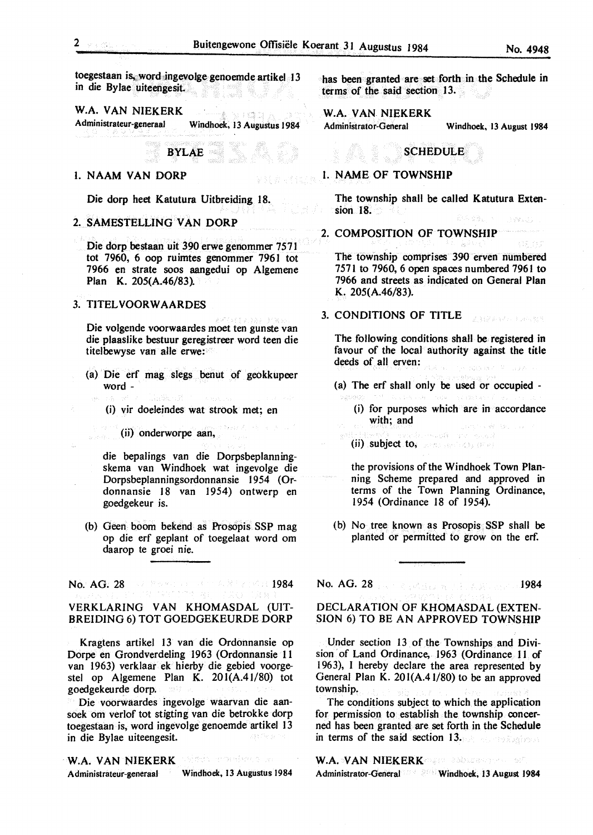toegestaan is, word ingevolge genoemde artikel 13 in die Bylae uiteengesit.

W.A. VAN NIEKERK NICER Administrateur-generaal Windhoek. 13 Augustus 1984

BYLAE

# 1. NAAM VAN DORP

Die dorp heet Katutura Uitbreiding 18.

# 2. SAMESTELLING VAN DORP

Die dorp bestaan uit 390 erwe genommer 7571 tot 7960, 6 oop ruimtes genommer 7961 tot 7966 en strate soos aangedui op Algemene Plan K. 205(A.46/83).

# 3. TITELVOORW AARDES

Die volgende voorwaardes moet ten gunste van die plaaslike bestuur geregistreer word teen die titelbewyse van alle erwe:

- (a) Die erf mag slegs benut of geokkupeer word -
	- (i) vir doeleindes wat strook met; en
	- (ii) onderworpe aan,

die bepalings van die Dorpsbeplanningskema van Windhoek wat ingevolge die Dorpsbeplanningsordonnansie 1954 (Ordonnansie 18 van 1954) ontwerp en goedgekeur is.

(b) Geen boom bekend as Prosopis SSP mag op die erf geplant of toegelaat word om daarop te groei nie.

No. AG. 28 1984 Present and A. R. Ferrica 1984

# VERKLARING VAN KHOMASDAL (UIT-BREIDING 6) TOT GOEDGEKEURDE DORP

Kragtens artikel 13 van die Ordonnansie op Dorpe en Grondverdeling 1963 (Ordonnansie 11 van 1963) verklaar ek hierby die gebied voorgestel op Algemene Plan K. 20l(A.41/80) tot goedgekeurde dorp.

Die voorwaardes ingevolge waarvan die aansoek om verlof tot stigting van die betrokke dorp toegestaan is, word ingevolge genoemde artikel 13 in die Bylae uiteengesit.

stris constructo **W.A. VAN NIEKERK**  Administrateur-generaal Windhoek. 13 Augustus 1984 has been granted are set forth in the Schedule in terms of the said section 13.

Administrator-General Windhoek. 13 August **1984** 

# **SCHEDULE**

# I. NAME OF TOWNSHIP

The township shall be called Katutura Extension 18.

2. COMPOSITION OF TOWNSHIP

The township comprises 390 erven numbered 7571 to 7960, 6 open spaces numbered 796 I to 7966 and streets as indicated on General Plan K. 205(A.46/83).

# 3. CONDITIONS OF TITLE

The following conditions shall be registered in favour of the local authority against the title deeds of all erven: and survey of the

(a) The erf shall only be used or occupied -

- (i) for purposes which are in accordance with; and
- (ii) subject to, services in the series

the provisions of the Windhoek Town Planning Scheme prepared and approved in terms of the Town Planning Ordinance, 1954 (Ordinance 18 of 1954).

(b) No tree known as Prosopis SSP shall **be**  planted or permitted to grow on the erf.

No. AG. 28 **1984** 

# DECLARATION OF KHOMASDAL(EXTEN-SION 6) TO BE AN APPROVED TOWNSHIP

Under section 13 of the Townships and Division of Land Ordinance, 1963 (Ordinance 11 of 1963), I hereby declare the area represented by General Plan K. 20l(A.4 l/80) to be an approved township.

The conditions subject to which the application for permission to establish the township concerned has been granted are set forth in the Schedule in terms of the said section 13.

W.A. VAN NIEKERK Administrator-General Windhoek, 13 August 1984

**A sea control** 

法国家联邦 经市场租赁

W.A. VAN NIEKERK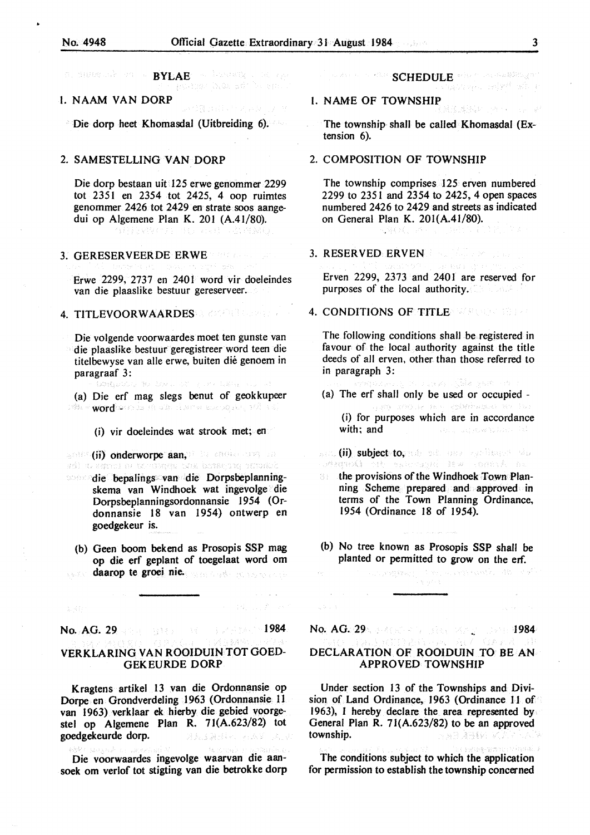BYLAE - Londing Colorado m. Buttermik on a

# I. NAAM VANDORP

Die dorp beet Khomasdal (Uitbreiding 6).

# 2. SAMESTELLING VAN DORP

Die dorp bestaan uit 125 erwe genommer 2299 tot 2351 en 2354 tot 2425, 4 oop ruimtes genommer 2426 tot 2429 en strate soos aangedui op Algemene Plan K. 201 (A.41/80). BB 2010 PM HD DEB - ANNAU

# 3. GERESERVEERDE ERWE

Erwe 2299, 2737 en 2401 word vir doeleindes van die plaaslike bestuur gereserveer.

4. TITLEVOORWAARDESEN COMPRESSION

Die volgende voorwaardes moet ten gunste van die plaaslike bestuur geregistreer word teen die titelbewyse van alle erwe, buiten die genoem in paragraaf 3:

We became the second below. .<br>Ang bata

- (a) Die erf mag slegs benut of geokkupeer word was held a keep and a special control and tvia -
	- (i) vir doeleindes wat strook met; en

gene (ii) onderworpe aan, die ander oorgene<br>aan aangeen on terdongse van benar van ontdakk die bepalings van die Dorpsbeplanningskema van Windhoek wat ingevolge die Dorpsbeplanningsordonnansie 1954 (Ordonnansie 18 van 1954) ontwerp en

**goedgekeur is.** 

(b) Geen boom bekend as Prosopis SSP mag op die erf geplant of toegelaat word om **daarop te groei nie.** 

No. AG. 29 **1984 No. 29 1984** 

# VERKLARING VAN ROOIDUINTOTGOED-GEKEURDE DORP

Kragtens artikel 13 van die Ordonnansie op Dorpe en Grondverdeling 1963 (Ordonnansie 11 van 1963) verklaar ek hierby die gebied voorgestel op Algemene Plan R. 7 J(A.623/82) tot goedgekeurde dorp. **DELEGABLE PLAY DAIV** 

Die voorwaardes ingevolge waarvan die aansoek om verlof tot stigting van die betrokke dorp

# **SCHEDULE** who provided them

# l. NAME OF TOWNSHIP

The township shall be called Khomasdal (Extension 6).

# 2. COMPOSITION OF TOWNSHIP

전화제 개인 다음이

The township comprises 125 erven numbered 2299 to 2351 and 2354 to 2425, 4 open spaces numbered 2426 to 2429 and streets as indicated on General Plan K. 20l(A.41/80).

#### 3. RESERVED ERVEN

Erven 2299, 2373 and 2401 are reserved for purposes of the local authority.

# 4. CONDITIONS OF TITLE WARRENT HERE

The following conditions shall be registered in favour of the local authority against the title deeds of all erven, other than those referred to in paragraph 3:

- a za magi shiko yana cam
- (a) The erf shall only be used or occupied -(i) for purposes which are in accordance with; and **CONTRACTOR** REPORTS TO A STATE AND
- sa, <mark>(ii) subject to,</mark> nds od. oe*r spillward do*<br>Extegral out extensive fow conec*t* on.
- $\therefore$  the provisions of the Windhoek Town Planning Scheme prepared and approved in terms of the Town Planning Ordinance, 1954 (Ordinance 18 of 1954).
- (b) No tree known as Prosopis SSP shall be planted or permitted to grow on the erf.

**CONSTRUCT** CONTRACTORS AND CONTROL

No. AG. 29 No. 41 No. 1984

# DECLARATION OF ROOIDUIN TO BE AN APPROVED TOWNSHIP

Under section 13 of the Townships and Division of Land Ordinance, 1963 (Ordinance 11 of 1963), I hereby declare the area represented by General Plan R. 71(A.623/82) to be an approved township. wiki vina member o

The conditions subject to which the application for permission to establish the township concerned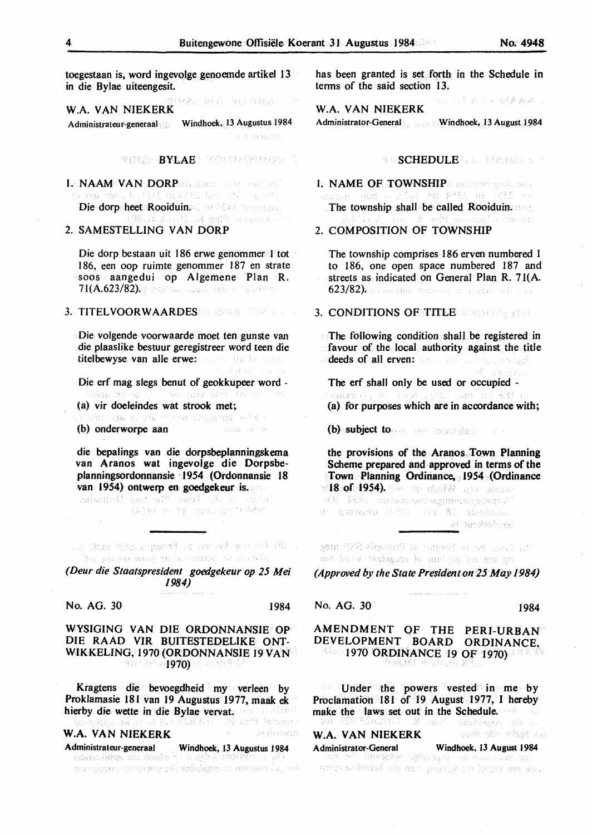toegestaan *is,* word ingevolge genoemde artikel 13 in die Bylae uiteengesit.

2. 김사이는 집사 결국사도 **W.A. VAN NIEKERK** 

Administrateur-generaal Windhoek, 13 Augustus 1984 Ad Baharra

SHEEK BYBAEN MONTHOSMOD

1.3NAAM: VAN: DORPshames - justinum 1983<br>- Sanda Baro kuit (1981 m 223): Jan 1981 - 2000 ynddir menn, b Die dorp heet Rooiduin. In 2018 beerland

## 2. SAMESTELLING VAN DORP

Die dorp bestaan uit 186 erwe genommer 1 tot 186, een oop ruimte genommer 187 en strate soos aangedui op Algemene Plan R. 71(A.623/82). All of the content of the Labardin fill

# 3. TITELVOOR **W AARDES**

Die volgende voorwaarde moet ten gunste van die plaaslike bestuur geregistreer word teen die titelbewyse van alle erwe:

Die erf mag slegs benut of geokkupeer word -

t d'ama charta

**(a) vir doeleindes wat strook met;**<br>strooms as wat strooms and water and the

(b) onderworpe aan **Service State** 

die bepalings van die dorpsbeplanningskema van Aranos wat ingevolge die Dorpsbeplanningsordonnansie 1954 (Ordonnansie 18 van 1954), ontwerp en goedgekeur is.<br>Jonanib Organisati<sup>e</sup>r awolf ran her same

.<br>(2004–30 Microselbus) 2007

(8) No tee kansen to Proseps 538 shall be ha ya pamindo a tunakin

*(Deur die Staatspresident goedgekeur op 25 Mei 1984)* 

# No. AG. 30 1984

# WYSIGING VAN DIE ORDONNANSIE OP DIE RAAD VIR BUITESTEDELIKE ONT-WIKKELING, 1970 (ORDONNANSIE 19 VAN 91929421970)

Kragtens die bevoegdheid my verleen by Proklamasie 181 van 19 Augustus 1977, maak ek hierby die wette in die Bylae vervat. De La 2002.<br>Looppe na ook (2002), A metal tempere SalAasii **W.A.** VAN NIEKERK Referance

Administrateur-generaal . Windhoek, 13 Augustus 1984 ich "Laisten is establish ihgaren rigoranen da has been granted is set forth in the Schedule in terms of the said section 13.

1.手头回头 钢条索区位 **W.A. VAN NIEKERK**  Administrator-General Windhoek, 13 August 1984

#### **SSCHEDULE** CONTRACT

1. **NAME OF TOWNSHIP**<sup>0</sup> *neared* quotests Senator Parame The township shall be called Rooiduin. lk no lab

### 2. COMPOSITION OF TOWNSHIP

The township comprises 186 erven numbered I to 186, one open space numbered 187 and streets as indicated on General Plan R. 71(A. 623/82). A tease where the individual

# 3. CONDITIONS OF TITLE MELOWER PRES

The following condition shalJ be registered in favour of the local authority against the title deeds of all erven: Same She was surrantissing The erf shall only be used or occupied -

a di Altito della conce (a) for purposes which are in accordance with;

(b) subject to one has replaced by a sec-

the provisions of the Aranos Town Planning Scheme prepared and. approved in terms of the Town Planning Ordinance, 1954 (Ordinance ri**18 of 1954).** See storiW<sup>in</sup>ney ismaar<br>4O) - PC91 - asammon-bernimusloodagesC an qaswaq (1901 Hav 8) sheeman e ei underhros

the Group better betweend as Proceeds SSP mag mo buva teshapon k matria 'na sib go

*(Approved by the State Presidmt on 25 May 1984)* 

# No. AG. 30 1984

## AMENDMENT QF THE PERI-URBAN DEVELOPMENT BOARD ORDINANCE, 1970 ORDINANCE 19 OF 1970) 4 H ( h L ) [ } ]

Under the powers vested in me by Proclamation 181 of 19 August 1977, I hereby make the laws set out in the Schedule. For a last set of the set of the set of the set of the set of the set of the set of the set of the set of the set of the set of the set of the set of the set of the set of the set of - 653 and the hat we **W.A. VAN NIEKERK**  Administrator-General Windhoek, 13 August 1984 sina an terlot un silgha un de betrokke drip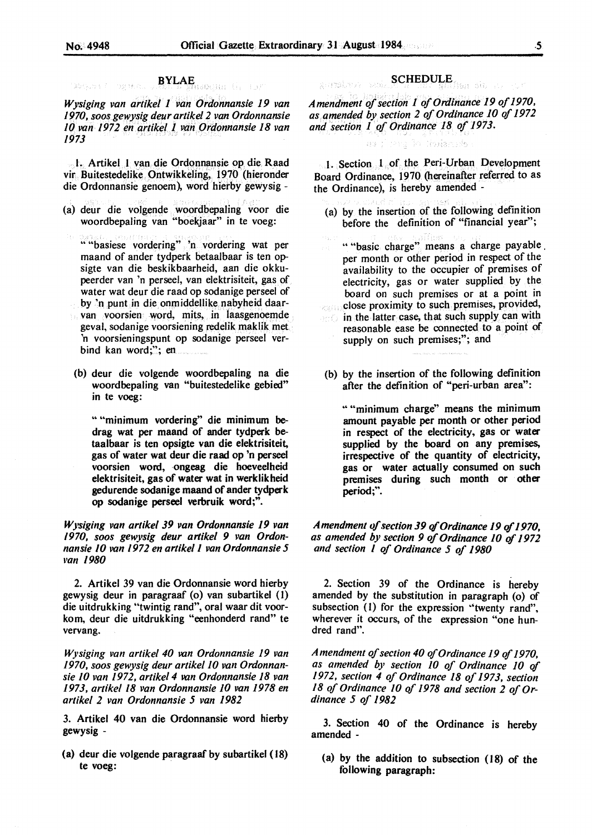$\mathcal{B}^{\pm}_{\text{H}}\mathcal{C}_{\text{H}}$  , and

BYLAE (i) (b) .<br>District in the state of the first state of the state of the state of the state of the state of the state of t

*Wysiging van artikel 1 van Ordonnansie 19 van 1970, soos gewysig deur artikel 2 van Ordonnansie*  JO *van 1972 en artikel 1. vahOrdonnansie 18 van 1973* 

1. Artikel 1 van die Ordonnansie op die Raad vir Buitestedelike. Ontwikkeling, 1970 (hieronder die Ordonnansie genoem), word hietby gewysig -

- (a) deur die volgende woordbepaling voor die woordbepaling van "boekjaar" in te voeg:
	- •• "basiese vordering" 'n vordering wat per maand of ander tydperk betaalbaar is ten opsigte van die beskikbaarheid, aan die okkupeerder van 'n perseel, van elektrisiteit, gas of water wat deur die raad op sodanige perseel of by 'n punt in die onmiddellike nabyheid daarvan voorsien word, mits, in laasgenoemde geval, sodanige voorsiening redelik maklik met 'n voorsieningspunt op sodanige perseel verbind kan word;"; en
	- (b) deur die volgende woordbepaling na die woordbepaling van "buitestedelike gebied" in te voeg:

•• "minimum vordering" die minimum bedrag wat per maand of ander tydperk betaalbaar is ten opsigte van die elektrisiteit, gas of water wat deur die raad op 'n perseel voorsien word, ongeag die hoeveelheid elektrisiteit, gas of water wat in werklikheid gedurende sodanige maand of ander tydperk op sodanige perseel verbruik word;".

*Wysiging van artikel 39 van Ordonnansie 19 van 1970, soos gewysig deur artikel 9 van Ordonnansie* JO *van 1972 en artikel I van Ordonnansie 5 ••an 1980* 

2. Artikel 39 van die Ordonnansie word hierby gewysig deur in paragraaf (o) van subartikel (]) die uitdrukking "twintig rand", oral waar dit voorkom, deur die uitdrukking "eenhonderd rand" te vervang.

*Wysiging van artikel 40 van Ordonnansie 19 van 1970, soos gewysig deur artikel 10 van Ordonnansie IO van 1972, artikel 4 van Ordonnansie 18 van 1973, artikel 18 van Ordonnansie JO van 1978 en artikel 2 van Ordonnansie 5 van 1982* 

3. Artikel 40 van die Ordonnansie word hietby gewysig -

( a) deur die volgende paragraaf by subartikel ( 18) te voeg:

#### SCHEDULE annstrum nois

*Amendment of section 1 of Ordinance 19 of 1970, as amended by section 2 of Ordinance JO* of *1972 and section 1 of Ordinance 18 of 1973.* 

#### dana ink To Noslamsde

t. Section 1 of the Peri-Urban Development Board Ordinance, 1970 (hereinafter referred to as the Ordinance), is hereby amended -

- (a) by the insertion of the following definition before the definition of "financial year";
- " "basic charge" means a charge payable . per month or other period in respect of the availability to the occupier of premises of electricity, gas or water supplied by the board on such premises or at a point in **close proximity to such premises, provided,**
- in the latter case, that such supply can with reasonable ease be connected to a point of supply on such premises;"; and
- (b) by the insertion of the following definition after the definition of "peri-urban area":

" "minimum charge" means the minimum amount payable per month or other period in respect of the electricity, gas or water supplied by the board on any premises, irrespective of the quantity of electricity, gas or water actually consumed on such premises during such month or other period;".

*A mendmenr vf section 39* of *Ordinance 19* of *1970, as amended by section 9 of Ordinance 10* of *1972 and section I of Ordinance 5 of* **1980** 

2. Section 39 of the Ordinance is hereby amended by the substitution in paragraph (o) of subsection (1) for the expression "twenty rand", wherever it occurs, of the expression "one hundred rand".

*Amendment of section 40* of *Ordinance 19* of *1970, as amended by section JO of Ordinance JO* of *1972, section 4 of Ordinance 18 of 1973, section*  18 of Ordinance 10 of 1978 and section 2 of Or*dinance 5 of 1982* 

3. Section 40 of the Ordinance is hereby amended -

(a) by the addition to subsection (18) of the following paragraph: